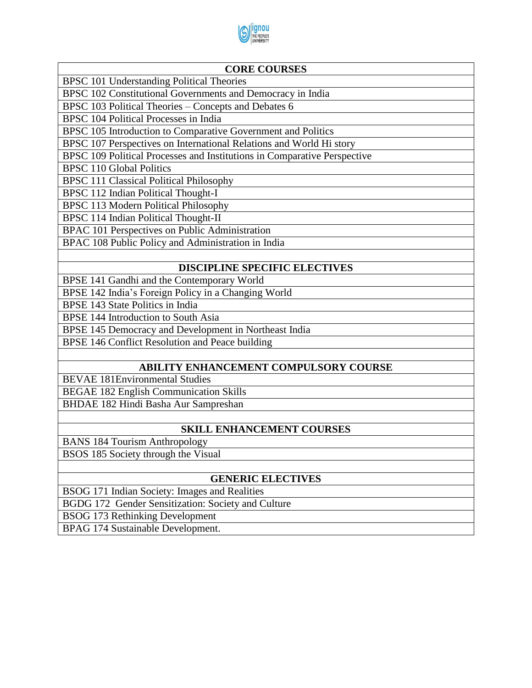

## **CORE COURSES**

BPSC 101 Understanding Political Theories

BPSC 102 Constitutional Governments and Democracy in India

BPSC 103 Political Theories – Concepts and Debates 6

BPSC 104 Political Processes in India

BPSC 105 Introduction to Comparative Government and Politics

BPSC 107 Perspectives on International Relations and World Hi story

BPSC 109 Political Processes and Institutions in Comparative Perspective

BPSC 110 Global Politics

BPSC 111 Classical Political Philosophy

BPSC 112 Indian Political Thought-I

BPSC 113 Modern Political Philosophy

BPSC 114 Indian Political Thought-II

BPAC 101 Perspectives on Public Administration

BPAC 108 Public Policy and Administration in India

## **DISCIPLINE SPECIFIC ELECTIVES**

BPSE 141 Gandhi and the Contemporary World

BPSE 142 India's Foreign Policy in a Changing World

BPSE 143 State Politics in India

BPSE 144 Introduction to South Asia

BPSE 145 Democracy and Development in Northeast India

BPSE 146 Conflict Resolution and Peace building

# **ABILITY ENHANCEMENT COMPULSORY COURSE**

BEVAE 181Environmental Studies

BEGAE 182 English Communication Skills

BHDAE 182 Hindi Basha Aur Sampreshan

## **SKILL ENHANCEMENT COURSES**

BANS 184 Tourism Anthropology BSOS 185 Society through the Visual

# **GENERIC ELECTIVES**

BSOG 171 Indian Society: Images and Realities

BGDG 172 Gender Sensitization: Society and Culture

BSOG 173 Rethinking Development

BPAG 174 Sustainable Development.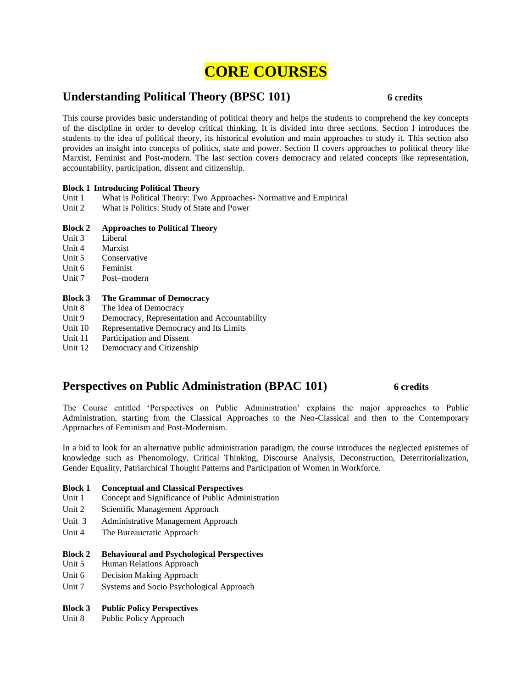# **CORE COURSES**

# **Understanding Political Theory (BPSC 101) 6 credits**

This course provides basic understanding of political theory and helps the students to comprehend the key concepts of the discipline in order to develop critical thinking. It is divided into three sections. Section I introduces the students to the idea of political theory, its historical evolution and main approaches to study it. This section also provides an insight into concepts of politics, state and power. Section II covers approaches to political theory like Marxist, Feminist and Post-modern. The last section covers democracy and related concepts like representation, accountability, participation, dissent and citizenship.

### **Block 1 Introducing Political Theory**

- Unit 1 What is Political Theory: Two Approaches- Normative and Empirical
- Unit 2 What is Politics: Study of State and Power

### **Block 2 Approaches to Political Theory**

- Unit 3 Liberal
- Unit 4 Marxist
- Unit 5 Conservative
- Unit 6 Feminist
- Unit 7 Post–modern

### **Block 3 The Grammar of Democracy**

- Unit 8 The Idea of Democracy
- Unit 9 Democracy, Representation and Accountability
- Unit 10 Representative Democracy and Its Limits
- Unit 11 Participation and Dissent
- Unit 12 Democracy and Citizenship

# **Perspectives on Public Administration (BPAC 101) 6 credits**

The Course entitled 'Perspectives on Public Administration' explains the major approaches to Public Administration, starting from the Classical Approaches to the Neo-Classical and then to the Contemporary Approaches of Feminism and Post-Modernism.

In a bid to look for an alternative public administration paradigm, the course introduces the neglected epistemes of knowledge such as Phenomology, Critical Thinking, Discourse Analysis, Deconstruction, Deterritorialization, Gender Equality, Patriarchical Thought Patterns and Participation of Women in Workforce.

### **Block 1 Conceptual and Classical Perspectives**

- Unit 1 Concept and Significance of Public Administration
- Unit 2 Scientific Management Approach
- Unit 3 Administrative Management Approach
- Unit 4 The Bureaucratic Approach

### **Block 2 Behavioural and Psychological Perspectives**

- Unit 5 Human Relations Approach
- Unit 6 Decision Making Approach
- Unit 7 Systems and Socio Psychological Approach

### **Block 3 Public Policy Perspectives**

Unit 8 Public Policy Approach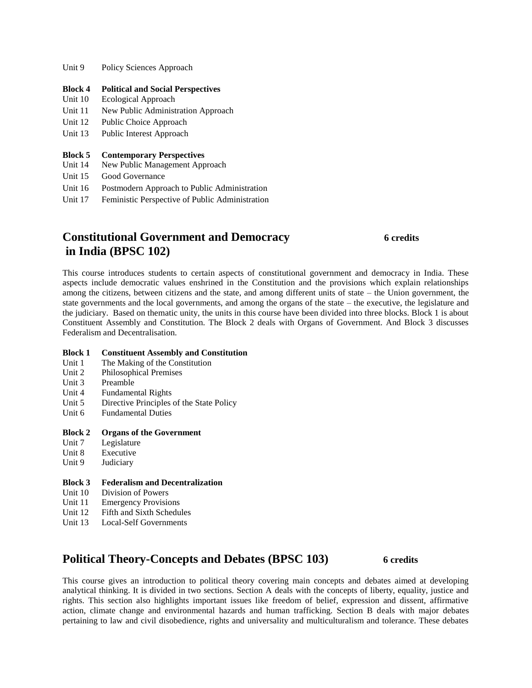Unit 9 Policy Sciences Approach

#### **Block 4 Political and Social Perspectives**

- Unit 10 Ecological Approach
- Unit 11 New Public Administration Approach
- Unit 12 Public Choice Approach
- Unit 13 Public Interest Approach

#### **Block 5 Contemporary Perspectives**

- Unit 14 New Public Management Approach
- Unit 15 Good Governance
- Unit 16 Postmodern Approach to Public Administration
- Unit 17 Feministic Perspective of Public Administration

# **Constitutional Government and Democracy 6 credits in India (BPSC 102)**

This course introduces students to certain aspects of constitutional government and democracy in India. These aspects include democratic values enshrined in the Constitution and the provisions which explain relationships among the citizens, between citizens and the state, and among different units of state – the Union government, the state governments and the local governments, and among the organs of the state – the executive, the legislature and the judiciary. Based on thematic unity, the units in this course have been divided into three blocks. Block 1 is about Constituent Assembly and Constitution. The Block 2 deals with Organs of Government. And Block 3 discusses Federalism and Decentralisation.

#### **Block 1 Constituent Assembly and Constitution**

- Unit 1 The Making of the Constitution
- Unit 2 Philosophical Premises
- Unit 3 Preamble
- Unit 4 Fundamental Rights
- Unit 5 Directive Principles of the State Policy
- Unit 6 Fundamental Duties

#### **Block 2 Organs of the Government**

- Unit 7 Legislature
- Unit 8 Executive
- Unit 9 Judiciary

# **Block 3 Federalism and Decentralization**

- Division of Powers
- Unit 11 Emergency Provisions
- Unit 12 Fifth and Sixth Schedules
- Unit 13 Local-Self Governments

# **Political Theory-Concepts and Debates (BPSC 103) 6 credits**

This course gives an introduction to political theory covering main concepts and debates aimed at developing analytical thinking. It is divided in two sections. Section A deals with the concepts of liberty, equality, justice and rights. This section also highlights important issues like freedom of belief, expression and dissent, affirmative action, climate change and environmental hazards and human trafficking. Section B deals with major debates pertaining to law and civil disobedience, rights and universality and multiculturalism and tolerance. These debates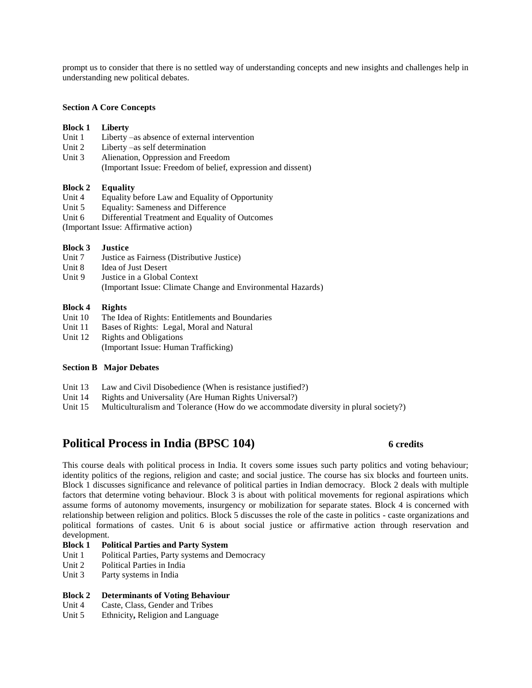prompt us to consider that there is no settled way of understanding concepts and new insights and challenges help in understanding new political debates.

#### **Section A Core Concepts**

#### **Block 1 Liberty**

- Unit 1 Liberty –as absence of external intervention
- Unit 2 Liberty –as self determination
- Unit 3 Alienation, Oppression and Freedom (Important Issue: Freedom of belief, expression and dissent)

#### **Block 2 Equality**

- Unit 4 Equality before Law and Equality of Opportunity
- Unit 5 Equality: Sameness and Difference
- Unit 6 Differential Treatment and Equality of Outcomes

(Important Issue: Affirmative action)

#### **Block 3 Justice**

- Unit 7 Justice as Fairness (Distributive Justice)<br>Unit 8 Idea of Just Desert
- Idea of Just Desert
- Unit 9 Justice in a Global Context (Important Issue: Climate Change and Environmental Hazards)

#### **Block 4 Rights**

- Unit 10 The Idea of Rights: Entitlements and Boundaries
- Unit 11 Bases of Rights: Legal, Moral and Natural
- Unit 12 Rights and Obligations (Important Issue: Human Trafficking)

### **Section B Major Debates**

- Unit 13 Law and Civil Disobedience (When is resistance justified?)
- Unit 14 Rights and Universality (Are Human Rights Universal?)
- Unit 15 Multiculturalism and Tolerance (How do we accommodate diversity in plural society?)

# **Political Process in India (BPSC 104) 6 credits**

This course deals with political process in India. It covers some issues such party politics and voting behaviour; identity politics of the regions, religion and caste; and social justice. The course has six blocks and fourteen units. Block 1 discusses significance and relevance of political parties in Indian democracy. Block 2 deals with multiple factors that determine voting behaviour. Block 3 is about with political movements for regional aspirations which assume forms of autonomy movements, insurgency or mobilization for separate states. Block 4 is concerned with relationship between religion and politics. Block 5 discusses the role of the caste in politics - caste organizations and political formations of castes. Unit 6 is about social justice or affirmative action through reservation and development.

### **Block 1 Political Parties and Party System**

- Unit 1 Political Parties, Party systems and Democracy
- Unit 2 Political Parties in India
- Unit 3 Party systems in India

#### **Block 2 Determinants of Voting Behaviour**

- Unit 4 Caste, Class, Gender and Tribes
- Unit 5 Ethnicity**,** Religion and Language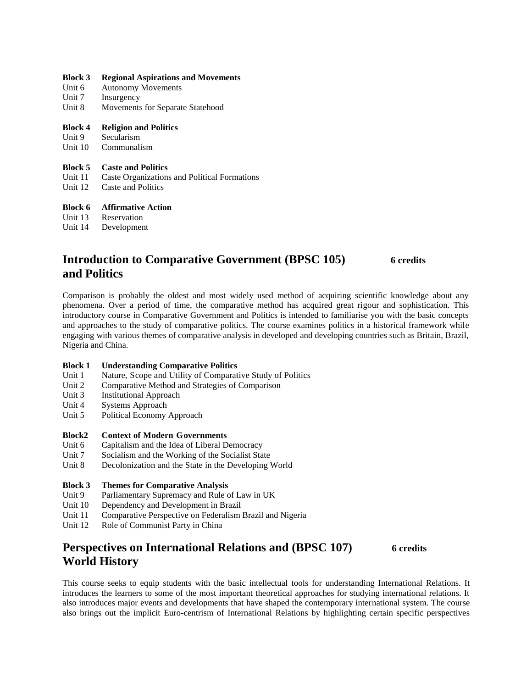#### **Block 3 Regional Aspirations and Movements**

- Unit 6 Autonomy Movements
- Unit 7 Insurgency
- Unit 8 Movements for Separate Statehood

#### **Block 4 Religion and Politics**

- Unit 9 Secularism
- Unit 10 Communalism

#### **Block 5 Caste and Politics**

- Unit 11 Caste Organizations and Political Formations
- Unit 12 Caste and Politics

#### **Block 6 Affirmative Action**

Unit 13 Reservation

#### Unit 14 Development

# **Introduction to Comparative Government (BPSC 105) 6 credits and Politics**

Comparison is probably the oldest and most widely used method of acquiring scientific knowledge about any phenomena. Over a period of time, the comparative method has acquired great rigour and sophistication. This introductory course in Comparative Government and Politics is intended to familiarise you with the basic concepts and approaches to the study of comparative politics. The course examines politics in a historical framework while engaging with various themes of comparative analysis in developed and developing countries such as Britain, Brazil, Nigeria and China.

#### **Block 1 Understanding Comparative Politics**

- Unit 1 Nature, Scope and Utility of Comparative Study of Politics
- Unit 2 Comparative Method and Strategies of Comparison
- Unit 3 Institutional Approach
- Unit 4 Systems Approach
- Unit 5 Political Economy Approach

#### **Block2 Context of Modern Governments**

- Unit 6 Capitalism and the Idea of Liberal Democracy
- Unit 7 Socialism and the Working of the Socialist State
- Unit 8 Decolonization and the State in the Developing World

#### **Block 3 Themes for Comparative Analysis**

- Unit 9 Parliamentary Supremacy and Rule of Law in UK
- Unit 10 Dependency and Development in Brazil
- Unit 11 Comparative Perspective on Federalism Brazil and Nigeria
- Unit 12 Role of Communist Party in China

# **Perspectives on International Relations and (BPSC 107) 6 credits World History**

This course seeks to equip students with the basic intellectual tools for understanding International Relations. It introduces the learners to some of the most important theoretical approaches for studying international relations. It also introduces major events and developments that have shaped the contemporary international system. The course also brings out the implicit Euro-centrism of International Relations by highlighting certain specific perspectives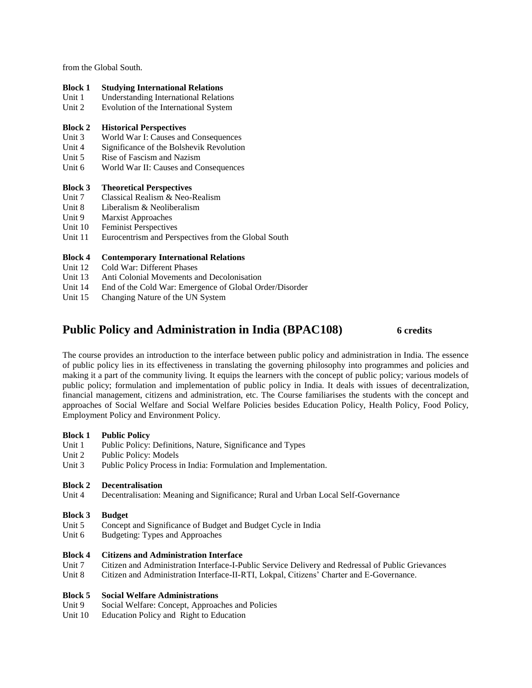from the Global South.

#### **Block 1 Studying International Relations**

- Unit 1 Understanding International Relations
- Unit 2 Evolution of the International System

#### **Block 2 Historical Perspectives**

- Unit 3 World War I: Causes and Consequences
- Unit 4 Significance of the Bolshevik Revolution<br>Unit 5 Rise of Fascism and Nazism
- Rise of Fascism and Nazism
- Unit 6 World War II: Causes and Consequences

#### **Block 3 Theoretical Perspectives**

- Unit 7 Classical Realism & Neo-Realism
- Unit 8 Liberalism & Neoliberalism
- Unit 9 Marxist Approaches
- Unit 10 Feminist Perspectives
- Unit 11 Eurocentrism and Perspectives from the Global South

# **Block 4 Contemporary International Relations**

- Cold War: Different Phases
- Unit 13 Anti Colonial Movements and Decolonisation
- Unit 14 End of the Cold War: Emergence of Global Order/Disorder
- Unit 15 Changing Nature of the UN System

# **Public Policy and Administration in India (BPAC108) 6 credits**

The course provides an introduction to the interface between public policy and administration in India. The essence of public policy lies in its effectiveness in translating the governing philosophy into programmes and policies and making it a part of the community living. It equips the learners with the concept of public policy; various models of public policy; formulation and implementation of public policy in India. It deals with issues of decentralization, financial management, citizens and administration, etc. The Course familiarises the students with the concept and approaches of Social Welfare and Social Welfare Policies besides Education Policy, Health Policy, Food Policy, Employment Policy and Environment Policy.

#### **Block 1 Public Policy**

- Unit 1 Public Policy: Definitions, Nature, Significance and Types
- Unit 2 Public Policy: Models
- Unit 3 Public Policy Process in India: Formulation and Implementation.

### **Block 2 Decentralisation**

Unit 4 Decentralisation: Meaning and Significance; Rural and Urban Local Self-Governance

### **Block 3 Budget**

- Unit 5 Concept and Significance of Budget and Budget Cycle in India
- Unit 6 Budgeting: Types and Approaches

#### **Block 4 Citizens and Administration Interface**

- Unit 7 Citizen and Administration Interface-I-Public Service Delivery and Redressal of Public Grievances
- Unit 8 Citizen and Administration Interface-II-RTI, Lokpal, Citizens' Charter and E-Governance.

### **Block 5 Social Welfare Administrations**

- Unit 9 Social Welfare: Concept, Approaches and Policies
- Unit 10 Education Policy and Right to Education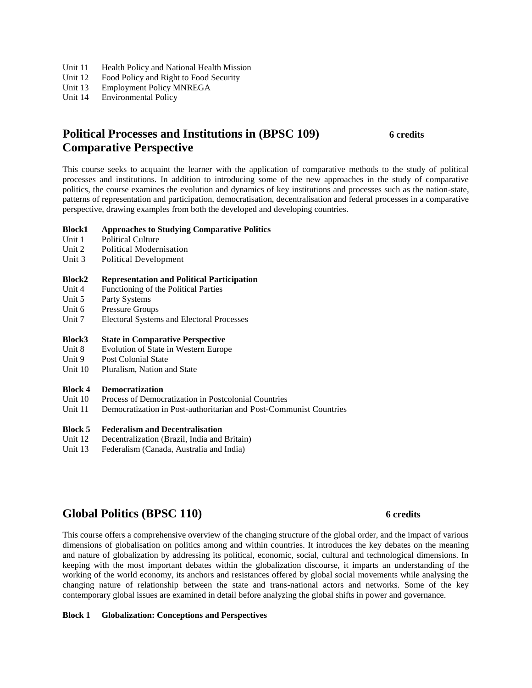- Unit 11 Health Policy and National Health Mission
- Unit 12 Food Policy and Right to Food Security
- Unit 13 Employment Policy MNREGA
- Unit 14 Environmental Policy

# **Political Processes and Institutions in (BPSC 109) 6 credits Comparative Perspective**

This course seeks to acquaint the learner with the application of comparative methods to the study of political processes and institutions. In addition to introducing some of the new approaches in the study of comparative politics, the course examines the evolution and dynamics of key institutions and processes such as the nation-state, patterns of representation and participation, democratisation, decentralisation and federal processes in a comparative perspective, drawing examples from both the developed and developing countries.

#### **Block1 Approaches to Studying Comparative Politics**

- Unit 1 Political Culture
- Unit 2 Political Modernisation
- Unit 3 Political Development

#### **Block2 Representation and Political Participation**

- Unit 4 Functioning of the Political Parties
- Unit 5 Party Systems
- Unit 6 Pressure Groups
- Unit 7 Electoral Systems and Electoral Processes

#### **Block3 State in Comparative Perspective**

- Unit 8 Evolution of State in Western Europe
- Unit 9 Post Colonial State
- Unit 10 Pluralism, Nation and State

#### **Block 4 Democratization**

- Unit 10 Process of Democratization in Postcolonial Countries
- Unit 11 Democratization in Post-authoritarian and Post-Communist Countries

# **Block 5 Federalism and Decentralisation**

- Decentralization (Brazil, India and Britain)
- Unit 13 Federalism (Canada, Australia and India)

# **Global Politics (BPSC 110) 6 credits**

This course offers a comprehensive overview of the changing structure of the global order, and the impact of various dimensions of globalisation on politics among and within countries. It introduces the key debates on the meaning and nature of globalization by addressing its political, economic, social, cultural and technological dimensions. In keeping with the most important debates within the globalization discourse, it imparts an understanding of the working of the world economy, its anchors and resistances offered by global social movements while analysing the changing nature of relationship between the state and trans-national actors and networks. Some of the key contemporary global issues are examined in detail before analyzing the global shifts in power and governance.

### **Block 1 Globalization: Conceptions and Perspectives**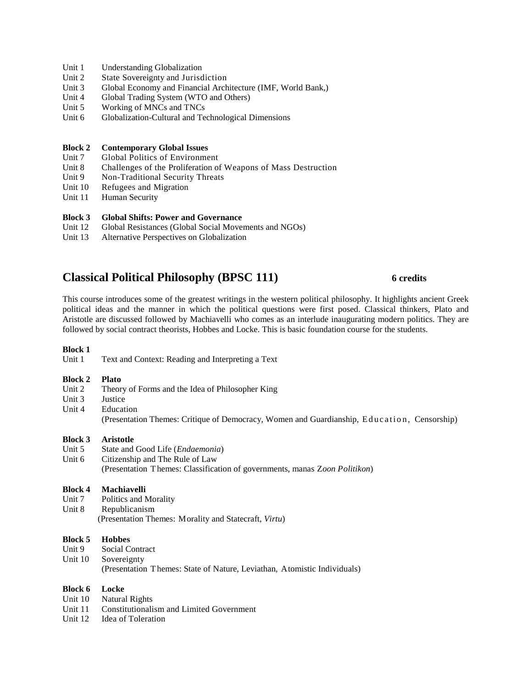- Unit 1 Understanding Globalization
- Unit 2 State Sovereignty and Jurisdiction
- Unit 3 Global Economy and Financial Architecture (IMF, World Bank,)
- Unit 4 Global Trading System (WTO and Others)
- Unit 5 Working of MNCs and TNCs
- Unit 6 Globalization-Cultural and Technological Dimensions

#### **Block 2 Contemporary Global Issues**

- Unit 7 Global Politics of Environment
- Unit 8 Challenges of the Proliferation of Weapons of Mass Destruction
- Unit 9 Non-Traditional Security Threats<br>Unit 10 Refugees and Migration
- Refugees and Migration
- Unit 11 Human Security

#### **Block 3 Global Shifts: Power and Governance**

Unit 12 Global Resistances (Global Social Movements and NGOs)

Unit 13 Alternative Perspectives on Globalization

# **Classical Political Philosophy (BPSC 111) 6 credits**

This course introduces some of the greatest writings in the western political philosophy. It highlights ancient Greek political ideas and the manner in which the political questions were first posed. Classical thinkers, Plato and Aristotle are discussed followed by Machiavelli who comes as an interlude inaugurating modern politics. They are followed by social contract theorists, Hobbes and Locke. This is basic foundation course for the students.

### **Block 1**

### Unit 1 Text and Context: Reading and Interpreting a Text

#### **Block 2 Plato**

- Unit 2 Theory of Forms and the Idea of Philosopher King
- Unit 3 Justice
- Unit 4 Education

(Presentation Themes: Critique of Democracy, Women and Guardianship, Education, Censorship)

#### **Block 3 Aristotle**

- Unit 5 State and Good Life (*Endaemonia*)
- Unit 6 Citizenship and The Rule of Law (Presentation Themes: Classification of governments, manas Z*oon Politikon*)

# **Block 4 Machiavelli**<br>Unit 7 Politics and N

- Politics and Morality
- Unit 8 Republicanism
	- (Presentation Themes: Morality and Statecraft, *Virtu*)

#### **Block 5 Hobbes**

- Unit 9 Social Contract
- Unit 10 Sovereignty
	- (Presentation Themes: State of Nature, Leviathan, Atomistic Individuals)

### **Block 6 Locke**

- Unit 10 Natural Rights
- Unit 11 Constitutionalism and Limited Government
- Unit 12 Idea of Toleration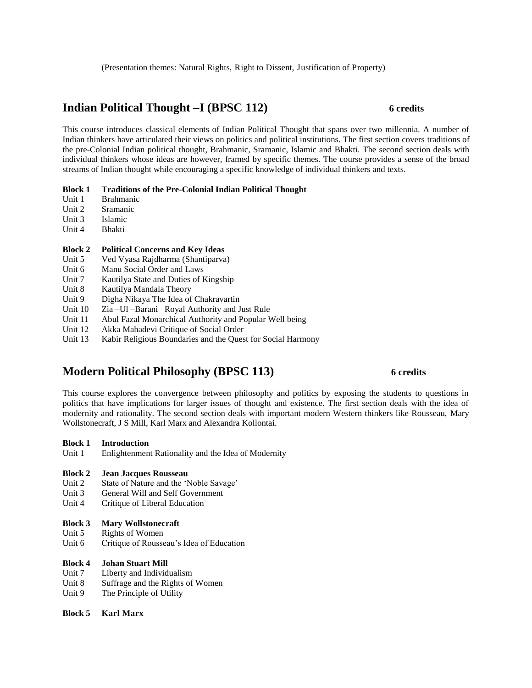# **Indian Political Thought –I (BPSC 112) 6 credits**

This course introduces classical elements of Indian Political Thought that spans over two millennia. A number of Indian thinkers have articulated their views on politics and political institutions. The first section covers traditions of the pre-Colonial Indian political thought, Brahmanic, Sramanic, Islamic and Bhakti. The second section deals with individual thinkers whose ideas are however, framed by specific themes. The course provides a sense of the broad streams of Indian thought while encouraging a specific knowledge of individual thinkers and texts.

#### **Block 1 Traditions of the Pre-Colonial Indian Political Thought**

- Unit 1 Brahmanic
- Unit 2 Sramanic
- Unit 3 Islamic
- Unit 4 Bhakti

#### **Block 2 Political Concerns and Key Ideas**

- Unit 5 Ved Vyasa Rajdharma (Shantiparva)
- Unit 6 Manu Social Order and Laws
- Unit 7 Kautilya State and Duties of Kingship
- Unit 8 Kautilya Mandala Theory
- Unit 9 Digha Nikaya The Idea of Chakravartin
- Unit 10 Zia –Ul –Barani Royal Authority and Just Rule
- Unit 11 Abul Fazal Monarchical Authority and Popular Well being
- Unit 12 Akka Mahadevi Critique of Social Order
- Unit 13 Kabir Religious Boundaries and the Quest for Social Harmony

# **Modern Political Philosophy (BPSC 113)** 6 credits

This course explores the convergence between philosophy and politics by exposing the students to questions in politics that have implications for larger issues of thought and existence. The first section deals with the idea of modernity and rationality. The second section deals with important modern Western thinkers like Rousseau, Mary Wollstonecraft, J S Mill, Karl Marx and Alexandra Kollontai.

#### **Block 1 Introduction**

Unit 1 Enlightenment Rationality and the Idea of Modernity

#### **Block 2 Jean Jacques Rousseau**

- Unit 2 State of Nature and the 'Noble Savage'
- Unit 3 General Will and Self Government
- Unit 4 Critique of Liberal Education

### **Block 3 Mary Wollstonecraft**

- Unit 5 Rights of Women
- Unit 6 Critique of Rousseau's Idea of Education

#### **Block 4 Johan Stuart Mill**

- Unit 7 Liberty and Individualism
- Unit 8 Suffrage and the Rights of Women
- Unit 9 The Principle of Utility

#### **Block 5 Karl Marx**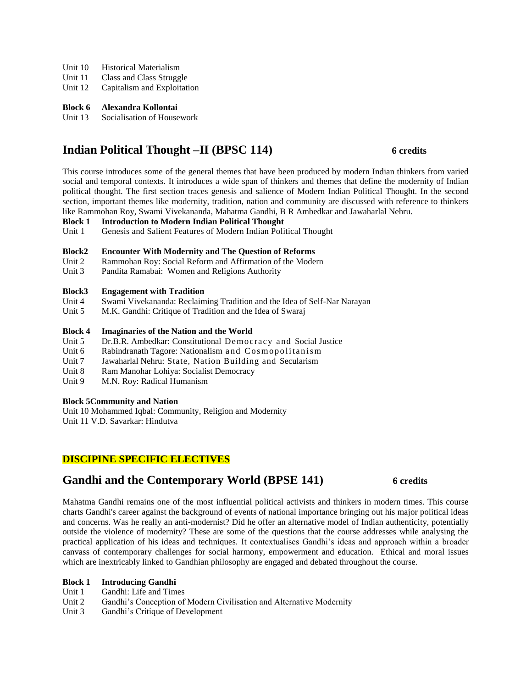- Unit 10 Historical Materialism
- Unit 11 Class and Class Struggle
- Unit 12 Capitalism and Exploitation

#### **Block 6 Alexandra Kollontai**

Unit 13 Socialisation of Housework

# **Indian Political Thought –II (BPSC 114) 6 credits**

This course introduces some of the general themes that have been produced by modern Indian thinkers from varied social and temporal contexts. It introduces a wide span of thinkers and themes that define the modernity of Indian political thought. The first section traces genesis and salience of Modern Indian Political Thought. In the second section, important themes like modernity, tradition, nation and community are discussed with reference to thinkers like Rammohan Roy, Swami Vivekananda, Mahatma Gandhi, B R Ambedkar and Jawaharlal Nehru.

#### **Block 1 Introduction to Modern Indian Political Thought**

Unit 1 Genesis and Salient Features of Modern Indian Political Thought

#### **Block2 Encounter With Modernity and The Question of Reforms**

- Unit 2 Rammohan Roy: Social Reform and Affirmation of the Modern
- Unit 3 Pandita Ramabai: Women and Religions Authority

#### **Block3 Engagement with Tradition**

- Unit 4 Swami Vivekananda: Reclaiming Tradition and the Idea of Self-Nar Narayan
- Unit 5 M.K. Gandhi: Critique of Tradition and the Idea of Swaraj

#### **Block 4 Imaginaries of the Nation and the World**

- Unit 5 Dr.B.R. Ambedkar: Constitutional Democracy and Social Justice
- Unit 6 Rabindranath Tagore: Nationalism and Cosmopolitanism
- Unit 7 Jawaharlal Nehru: State, Nation Building and Secularism
- Unit 8 Ram Manohar Lohiya: Socialist Democracy
- Unit 9 M.N. Roy: Radical Humanism

#### **Block 5Community and Nation**

Unit 10 Mohammed Iqbal: Community, Religion and Modernity Unit 11 V.D. Savarkar: Hindutva

### **DISCIPINE SPECIFIC ELECTIVES**

## Gandhi and the Contemporary World (BPSE 141) 6 credits

Mahatma Gandhi remains one of the most influential political activists and thinkers in modern times. This course charts Gandhi's career against the background of events of national importance bringing out his major political ideas and concerns. Was he really an anti-modernist? Did he offer an alternative model of Indian authenticity, potentially outside the violence of modernity? These are some of the questions that the course addresses while analysing the practical application of his ideas and techniques. It contextualises Gandhi's ideas and approach within a broader canvass of contemporary challenges for social harmony, empowerment and education. Ethical and moral issues which are inextricably linked to Gandhian philosophy are engaged and debated throughout the course.

#### **Block 1 Introducing Gandhi**

- Unit 1 Gandhi: Life and Times
- Unit 2 Gandhi's Conception of Modern Civilisation and Alternative Modernity
- Unit 3 Gandhi's Critique of Development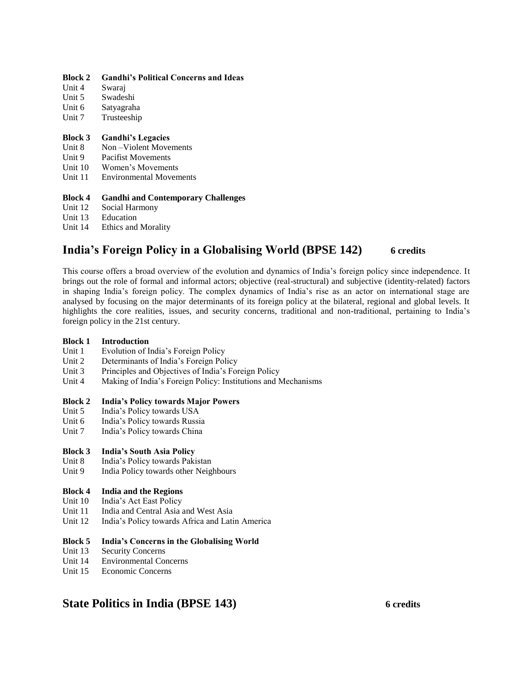#### **Block 2 Gandhi's Political Concerns and Ideas**

- Unit 4 Swaraj
- Unit 5 Swadeshi
- Unit 6 Satyagraha
- Unit 7 Trusteeship

#### **Block 3 Gandhi's Legacies**

- Unit 8 Non-Violent Movements<br>Unit 9 Pacifist Movements
- Pacifist Movements
- Unit 10 Women's Movements
- Unit 11 Environmental Movements

### **Block 4 Gandhi and Contemporary Challenges**

- Unit 12 Social Harmony
- Unit 13 Education
- Unit 14 Ethics and Morality

# **India's Foreign Policy in a Globalising World (BPSE 142) 6 credits**

This course offers a broad overview of the evolution and dynamics of India's foreign policy since independence. It brings out the role of formal and informal actors; objective (real-structural) and subjective (identity-related) factors in shaping India's foreign policy. The complex dynamics of India's rise as an actor on international stage are analysed by focusing on the major determinants of its foreign policy at the bilateral, regional and global levels. It highlights the core realities, issues, and security concerns, traditional and non-traditional, pertaining to India's foreign policy in the 21st century.

#### **Block 1 Introduction**

- Unit 1 Evolution of India's Foreign Policy
- Unit 2 Determinants of India's Foreign Policy
- Unit 3 Principles and Objectives of India's Foreign Policy
- Unit 4 Making of India's Foreign Policy: Institutions and Mechanisms

### **Block 2 India's Policy towards Major Powers**

- Unit 5 India's Policy towards USA
- Unit 6 India's Policy towards Russia
- Unit 7 India's Policy towards China

#### **Block 3 India's South Asia Policy**

- Unit 8 India's Policy towards Pakistan
- Unit 9 India Policy towards other Neighbours

#### **Block 4 India and the Regions**

- Unit 10 India's Act East Policy
- Unit 11 India and Central Asia and West Asia
- Unit 12 India's Policy towards Africa and Latin America

#### **Block 5 India's Concerns in the Globalising World**

- Unit 13 Security Concerns
- Unit 14 Environmental Concerns
- Unit 15 Economic Concerns

# **State Politics in India (BPSE 143) 6 credits**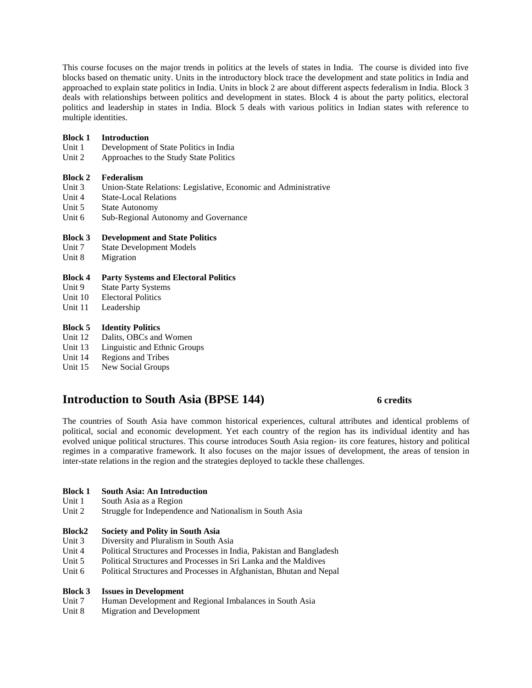This course focuses on the major trends in politics at the levels of states in India. The course is divided into five blocks based on thematic unity. Units in the introductory block trace the development and state politics in India and approached to explain state politics in India. Units in block 2 are about different aspects federalism in India. Block 3 deals with relationships between politics and development in states. Block 4 is about the party politics, electoral politics and leadership in states in India. Block 5 deals with various politics in Indian states with reference to multiple identities.

#### **Block 1 Introduction**

- Unit 1 Development of State Politics in India<br>Unit 2 Approaches to the Study State Politics
- Approaches to the Study State Politics

#### **Block 2 Federalism**

- Unit 3 Union-State Relations: Legislative, Economic and Administrative
- Unit 4 State-Local Relations
- Unit 5 State Autonomy
- Unit 6 Sub-Regional Autonomy and Governance

#### **Block 3 Development and State Politics**

- Unit 7 State Development Models
- Unit 8 Migration

### **Block 4 Party Systems and Electoral Politics**

- Unit 9 State Party Systems
- Unit 10 Electoral Politics
- Unit 11 Leadership

#### **Block 5 Identity Politics**

- Unit 12 Dalits, OBCs and Women
- Unit 13 Linguistic and Ethnic Groups
- Unit 14 Regions and Tribes
- Unit 15 New Social Groups

# **Introduction to South Asia (BPSE 144) 6 credits**

The countries of South Asia have common historical experiences, cultural attributes and identical problems of political, social and economic development. Yet each country of the region has its individual identity and has evolved unique political structures. This course introduces South Asia region- its core features, history and political regimes in a comparative framework. It also focuses on the major issues of development, the areas of tension in inter-state relations in the region and the strategies deployed to tackle these challenges.

# **Block 1 South Asia: An Introduction**<br>Unit 1 **South Asia as a Region**

- South Asia as a Region
- Unit 2 Struggle for Independence and Nationalism in South Asia

#### **Block2 Society and Polity in South Asia**

- Unit 3 Diversity and Pluralism in South Asia
- Unit 4 Political Structures and Processes in India, Pakistan and Bangladesh
- Unit 5 Political Structures and Processes in Sri Lanka and the Maldives
- Unit 6 Political Structures and Processes in Afghanistan, Bhutan and Nepal

#### **Block 3 Issues in Development**

- Unit 7 Human Development and Regional Imbalances in South Asia
- Unit 8 Migration and Development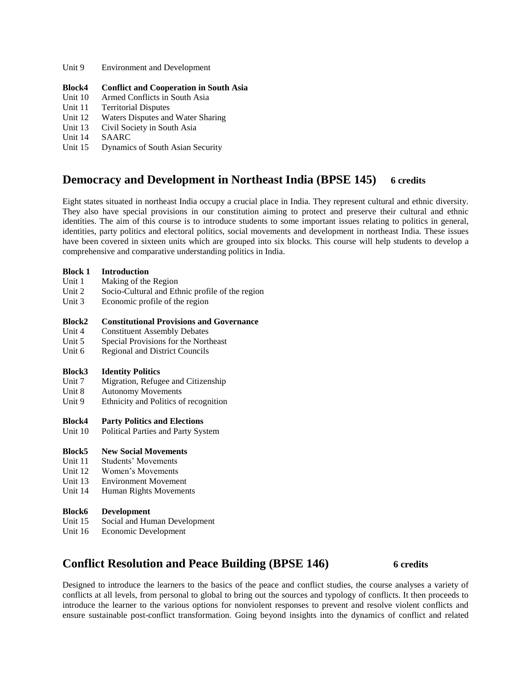Unit 9 Environment and Development

#### **Block4 Conflict and Cooperation in South Asia**

- Unit 10 Armed Conflicts in South Asia
- Unit 11 Territorial Disputes
- Unit 12 Waters Disputes and Water Sharing
- Unit 13 Civil Society in South Asia
- Unit 14 SAARC
- Unit 15 Dynamics of South Asian Security

# **Democracy and Development in Northeast India (BPSE 145)** 6 credits

Eight states situated in northeast India occupy a crucial place in India. They represent cultural and ethnic diversity. They also have special provisions in our constitution aiming to protect and preserve their cultural and ethnic identities. The aim of this course is to introduce students to some important issues relating to politics in general, identities, party politics and electoral politics, social movements and development in northeast India. These issues have been covered in sixteen units which are grouped into six blocks. This course will help students to develop a comprehensive and comparative understanding politics in India.

#### **Block 1 Introduction**

- Unit 1 Making of the Region
- Unit 2 Socio-Cultural and Ethnic profile of the region
- Unit 3 Economic profile of the region

#### **Block2 Constitutional Provisions and Governance**

- Unit 4 Constituent Assembly Debates
- Unit 5 Special Provisions for the Northeast
- Unit 6 Regional and District Councils

#### **Block3 Identity Politics**

- Unit 7 Migration, Refugee and Citizenship
- Unit 8 Autonomy Movements
- Unit 9 Ethnicity and Politics of recognition

#### **Block4 Party Politics and Elections**

Unit 10 Political Parties and Party System

#### **Block5 New Social Movements**

- Unit 11 Students' Movements
- Unit 12 Women's Movements
- Unit 13 Environment Movement
- Unit 14 Human Rights Movements

#### **Block6 Development**

- Unit 15 Social and Human Development
- Unit 16 Economic Development

# **Conflict Resolution and Peace Building (BPSE 146)** 6 credits

Designed to introduce the learners to the basics of the peace and conflict studies, the course analyses a variety of conflicts at all levels, from personal to global to bring out the sources and typology of conflicts. It then proceeds to introduce the learner to the various options for nonviolent responses to prevent and resolve violent conflicts and ensure sustainable post-conflict transformation. Going beyond insights into the dynamics of conflict and related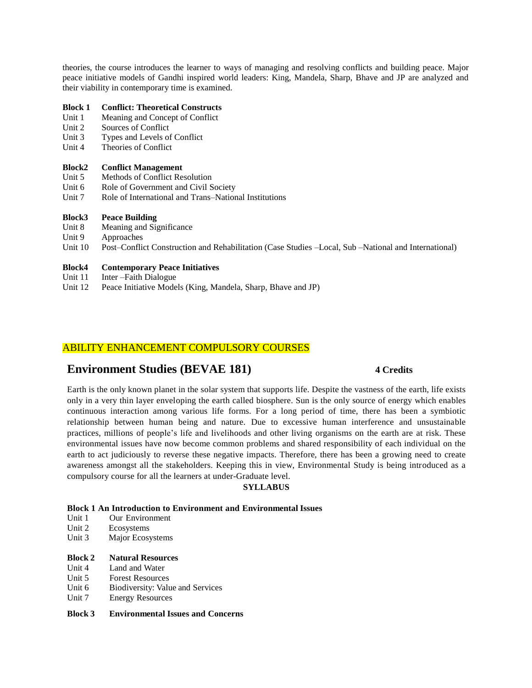theories, the course introduces the learner to ways of managing and resolving conflicts and building peace. Major peace initiative models of Gandhi inspired world leaders: King, Mandela, Sharp, Bhave and JP are analyzed and their viability in contemporary time is examined.

#### **Block 1 Conflict: Theoretical Constructs**

- Unit 1 Meaning and Concept of Conflict
- Unit 2 Sources of Conflict
- Unit 3 Types and Levels of Conflict
- Unit 4 Theories of Conflict

#### **Block2 Conflict Management**

- Unit 5 Methods of Conflict Resolution
- Unit 6 Role of Government and Civil Society
- Unit 7 Role of International and Trans–National Institutions

#### **Block3 Peace Building**

- Unit 8 Meaning and Significance
- Unit 9 Approaches
- Unit 10 Post–Conflict Construction and Rehabilitation (Case Studies –Local, Sub –National and International)

#### **Block4 Contemporary Peace Initiatives**

- Unit 11 Inter –Faith Dialogue
- Unit 12 Peace Initiative Models (King, Mandela, Sharp, Bhave and JP)

#### ABILITY ENHANCEMENT COMPULSORY COURSES

### **Environment Studies (BEVAE 181) 4 Credits**

Earth is the only known planet in the solar system that supports life. Despite the vastness of the earth, life exists only in a very thin layer enveloping the earth called biosphere. Sun is the only source of energy which enables continuous interaction among various life forms. For a long period of time, there has been a symbiotic relationship between human being and nature. Due to excessive human interference and unsustainable practices, millions of people's life and livelihoods and other living organisms on the earth are at risk. These environmental issues have now become common problems and shared responsibility of each individual on the earth to act judiciously to reverse these negative impacts. Therefore, there has been a growing need to create awareness amongst all the stakeholders. Keeping this in view, Environmental Study is being introduced as a compulsory course for all the learners at under-Graduate level.

#### **SYLLABUS**

#### **Block 1 An Introduction to Environment and Environmental Issues**

- Unit 1 Our Environment
- Unit 2 Ecosystems
- Unit 3 Major Ecosystems

### **Block 2 Natural Resources**

- Unit 4 Land and Water
- Unit 5 Forest Resources
- Unit 6 Biodiversity: Value and Services
- Unit 7 Energy Resources

#### **Block 3 Environmental Issues and Concerns**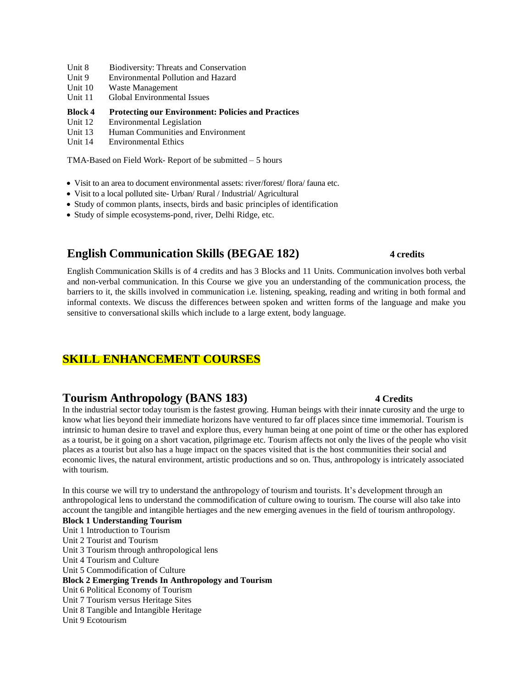- Unit 8 Biodiversity: Threats and Conservation
- Unit 9 Environmental Pollution and Hazard
- Unit 10 Waste Management
- Unit 11 Global Environmental Issues

#### **Block 4 Protecting our Environment: Policies and Practices**

- Unit 12 Environmental Legislation
- Unit 13 Human Communities and Environment
- Unit 14 Environmental Ethics

TMA-Based on Field Work- Report of be submitted – 5 hours

- Visit to an area to document environmental assets: river/forest/ flora/ fauna etc.
- Visit to a local polluted site- Urban/ Rural / Industrial/ Agricultural
- Study of common plants, insects, birds and basic principles of identification
- Study of simple ecosystems-pond, river, Delhi Ridge, etc.

# **English Communication Skills (BEGAE 182) 4 credits**

English Communication Skills is of 4 credits and has 3 Blocks and 11 Units. Communication involves both verbal and non-verbal communication. In this Course we give you an understanding of the communication process, the barriers to it, the skills involved in communication i.e. listening, speaking, reading and writing in both formal and informal contexts. We discuss the differences between spoken and written forms of the language and make you sensitive to conversational skills which include to a large extent, body language.

# **SKILL ENHANCEMENT COURSES**

# **Tourism Anthropology (BANS 183) 4 Credits**

In the industrial sector today tourism is the fastest growing. Human beings with their innate curosity and the urge to know what lies beyond their immediate horizons have ventured to far off places since time immemorial. Tourism is intrinsic to human desire to travel and explore thus, every human being at one point of time or the other has explored as a tourist, be it going on a short vacation, pilgrimage etc. Tourism affects not only the lives of the people who visit places as a tourist but also has a huge impact on the spaces visited that is the host communities their social and economic lives, the natural environment, artistic productions and so on. Thus, anthropology is intricately associated with tourism.

In this course we will try to understand the anthropology of tourism and tourists. It's development through an anthropological lens to understand the commodification of culture owing to tourism. The course will also take into account the tangible and intangible hertiages and the new emerging avenues in the field of tourism anthropology.

**Block 1 Understanding Tourism** Unit 1 Introduction to Tourism Unit 2 Tourist and Tourism Unit 3 Tourism through anthropological lens Unit 4 Tourism and Culture Unit 5 Commodification of Culture **Block 2 Emerging Trends In Anthropology and Tourism** Unit 6 Political Economy of Tourism Unit 7 Tourism versus Heritage Sites Unit 8 Tangible and Intangible Heritage Unit 9 Ecotourism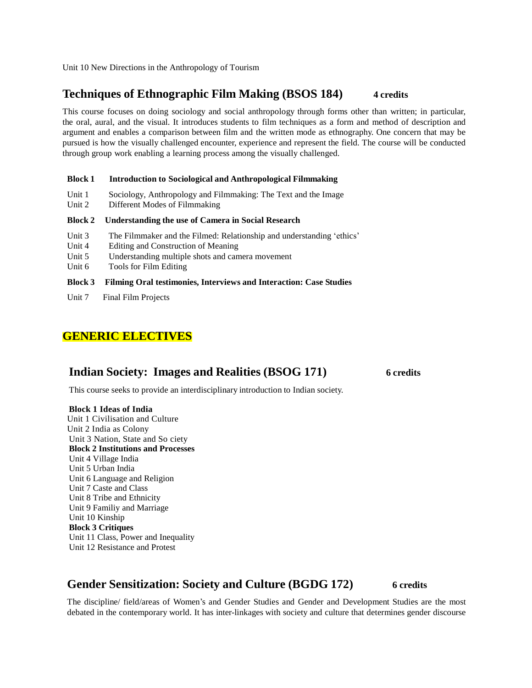Unit 10 New Directions in the Anthropology of Tourism

## **Techniques of Ethnographic Film Making (BSOS 184) 4 credits**

This course focuses on doing sociology and social anthropology through forms other than written; in particular, the oral, aural, and the visual. It introduces students to film techniques as a form and method of description and argument and enables a comparison between film and the written mode as ethnography. One concern that may be pursued is how the visually challenged encounter, experience and represent the field. The course will be conducted through group work enabling a learning process among the visually challenged.

#### **Block 1 Introduction to Sociological and Anthropological Filmmaking**

- Unit 1 Sociology, Anthropology and Filmmaking: The Text and the Image
- Unit 2 Different Modes of Filmmaking

#### **Block 2 Understanding the use of Camera in Social Research**

- Unit 3 The Filmmaker and the Filmed: Relationship and understanding 'ethics'
- Unit 4 Editing and Construction of Meaning
- Unit 5 Understanding multiple shots and camera movement
- Unit 6 Tools for Film Editing

### **Block 3 Filming Oral testimonies, Interviews and Interaction: Case Studies**

Unit 7 Final Film Projects

# **GENERIC ELECTIVES**

# **Indian Society: Images and Realities (BSOG 171) 6 credits**

This course seeks to provide an interdisciplinary introduction to Indian society.

### **Block 1 Ideas of India**

Unit 1 Civilisation and Culture Unit 2 India as Colony Unit 3 Nation, State and So ciety **Block 2 Institutions and Processes**  Unit 4 Village India Unit 5 Urban India Unit 6 Language and Religion Unit 7 Caste and Class Unit 8 Tribe and Ethnicity Unit 9 Familiy and Marriage Unit 10 Kinship **Block 3 Critiques** Unit 11 Class, Power and Inequality Unit 12 Resistance and Protest

# **Gender Sensitization: Society and Culture (BGDG 172) 6 credits**

The discipline/ field/areas of Women's and Gender Studies and Gender and Development Studies are the most debated in the contemporary world. It has inter-linkages with society and culture that determines gender discourse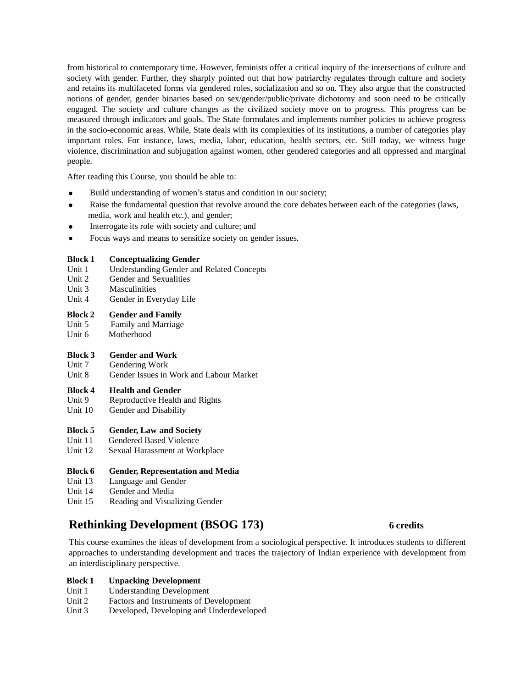from historical to contemporary time. However, feminists offer a critical inquiry of the intersections of culture and society with gender. Further, they sharply pointed out that how patriarchy regulates through culture and society and retains its multifaceted forms via gendered roles, socialization and so on. They also argue that the constructed notions of gender, gender binaries based on sex/gender/public/private dichotomy and soon need to be critically engaged. The society and culture changes as the civilized society move on to progress. This progress can be measured through indicators and goals. The State formulates and implements number policies to achieve progress in the socio-economic areas. While, State deals with its complexities of its institutions, a number of categories play important roles. For instance, laws, media, labor, education, health sectors, etc. Still today, we witness huge violence, discrimination and subjugation against women, other gendered categories and all oppressed and marginal people.

After reading this Course, you should be able to:

- Build understanding of women's status and condition in our society;
- Raise the fundamental question that revolve around the core debates between each of the categories (laws, media, work and health etc.), and gender;
- Interrogate its role with society and culture; and
- Focus ways and means to sensitize society on gender issues.

#### **Block 1 Conceptualizing Gender**

- Unit 1 Understanding Gender and Related Concepts<br>Unit 2 Gender and Sexualities
- Gender and Sexualities
- Unit 3 Masculinities
- Unit 4 Gender in Everyday Life

# **Block 2 Gender and Family**

- Family and Marriage
- Unit 6 Motherhood

#### **Block 3 Gender and Work**

- Unit 7 Gendering Work
- Unit 8 Gender Issues in Work and Labour Market

#### **Block 4 Health and Gender**

- Unit 9 Reproductive Health and Rights
- Unit 10 Gender and Disability

### **Block 5 Gender, Law and Society**

- Unit 11 Gendered Based Violence
- Unit 12 Sexual Harassment at Workplace

#### **Block 6 Gender, Representation and Media**

- Unit 13 Language and Gender
- Unit 14 Gender and Media
- Unit 15 Reading and Visualizing Gender

# **Rethinking Development (BSOG 173) 6 credits**

This course examines the ideas of development from a sociological perspective. It introduces students to different approaches to understanding development and traces the trajectory of Indian experience with development from an interdisciplinary perspective.

#### **Block 1 Unpacking Development**

- Unit 1 Understanding Development
- Unit 2 Factors and Instruments of Development
- Unit 3 Developed, Developing and Underdeveloped